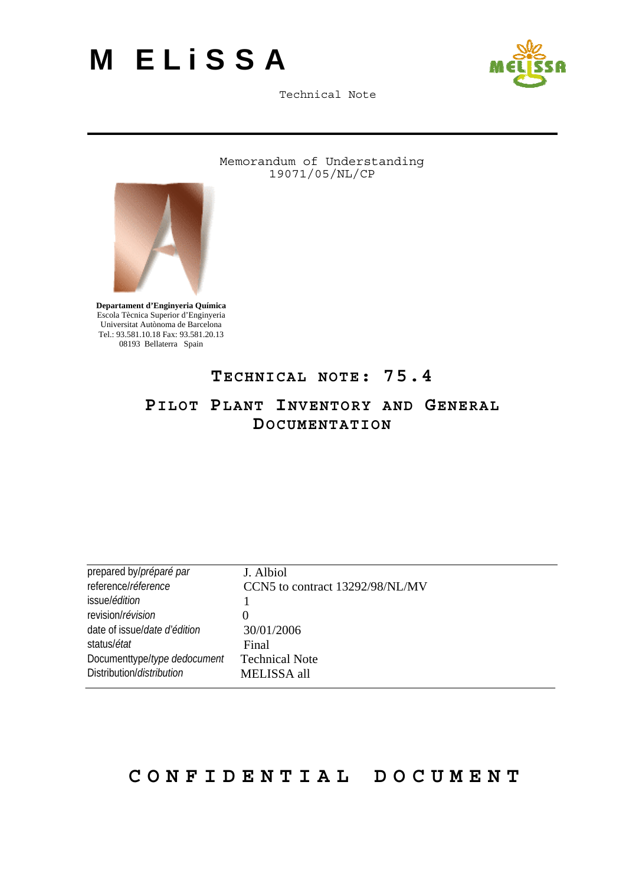<span id="page-0-0"></span>



Memorandum of Understanding 19071/05/NL/CP



**Departament d'Enginyeria Química**  Escola Tècnica Superior d'Enginyeria Universitat Autònoma de Barcelona Tel.: 93.581.10.18 Fax: 93.581.20.13 08193 Bellaterra Spain

## **TECHNICAL NOTE: 75.4**

## **[PILOT PLANT INVENTORY AND GENERAL](#page-0-0)  [DOCUMENTATION](#page-0-0)**

| prepared by/préparé par      | J. Albiol                       |
|------------------------------|---------------------------------|
| referencel réference         | CCN5 to contract 13292/98/NL/MV |
| issue/édition                |                                 |
| revision/révision            |                                 |
| date of issue/date d'édition | 30/01/2006                      |
| status/ <i>état</i>          | Final                           |
| Documenttype/type dedocument | <b>Technical Note</b>           |
| Distribution/distribution    | MELISSA all                     |
|                              |                                 |

## **CONFIDENTIAL DOCUMENT**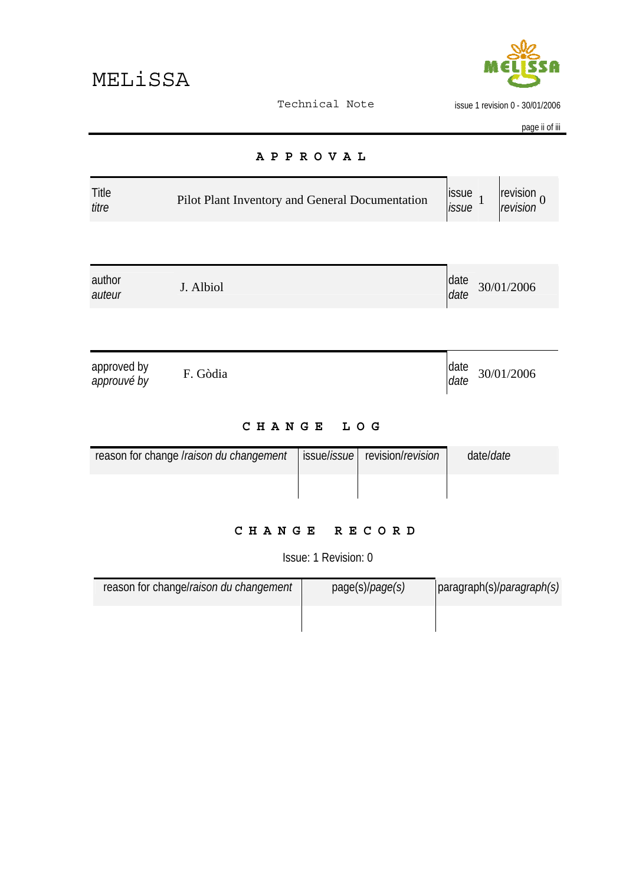

issue 1 revision 0 - 30/01/2006

#### **APPROVAL**

<span id="page-1-0"></span>

| Title<br>Pilot Plant Inventory and General Documentation<br>titre | <b>ISSUE</b><br>issue | revision <sub>o</sub><br>revision |
|-------------------------------------------------------------------|-----------------------|-----------------------------------|
|-------------------------------------------------------------------|-----------------------|-----------------------------------|

| author<br>auteur | J. Albiol | date<br>date | 30/01/2006 |
|------------------|-----------|--------------|------------|
|                  |           |              |            |

| approved by<br>approuvé by | F. Gòdia | date<br>date | 30/01/2006 |  |
|----------------------------|----------|--------------|------------|--|
|----------------------------|----------|--------------|------------|--|

### **CHANGE LOG**

| reason for change <i>Iraison du changement</i>   issue/ <i>issue</i>   revision/ <i>revision</i> |  | date/ <i>date</i> |
|--------------------------------------------------------------------------------------------------|--|-------------------|
|                                                                                                  |  |                   |

### **CHANGE RECORD**

Issue: 1 Revision: 0

| reason for change/raison du changement | page(s)/ <i>page(s)</i> | paragraph(s)/ <i>paragraph(s)</i> |
|----------------------------------------|-------------------------|-----------------------------------|
|                                        |                         |                                   |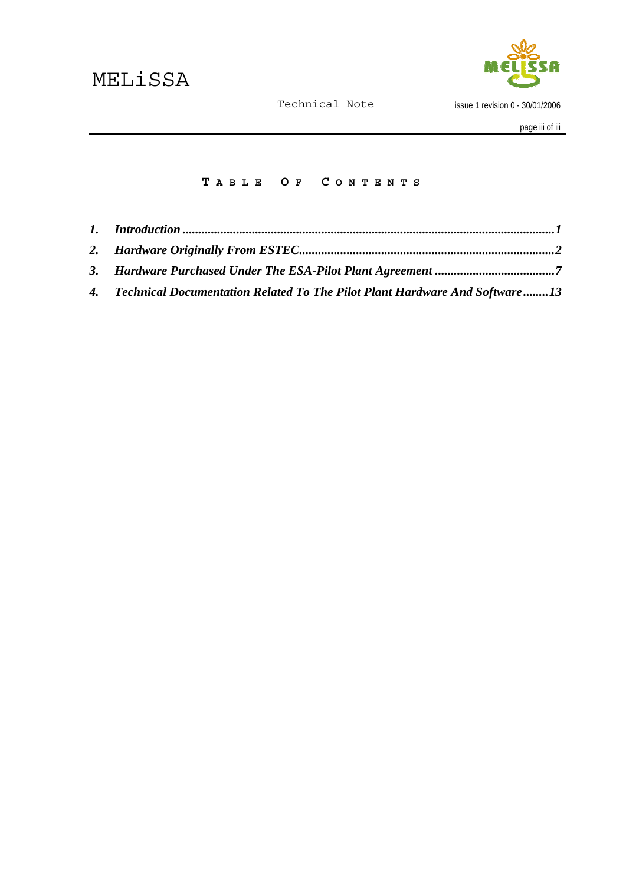

issue 1 revision 0 - 30/01/2006

page iii of iii

## **T ABLE O F C ONTENTS**

| 4. Technical Documentation Related To The Pilot Plant Hardware And Software13 |  |
|-------------------------------------------------------------------------------|--|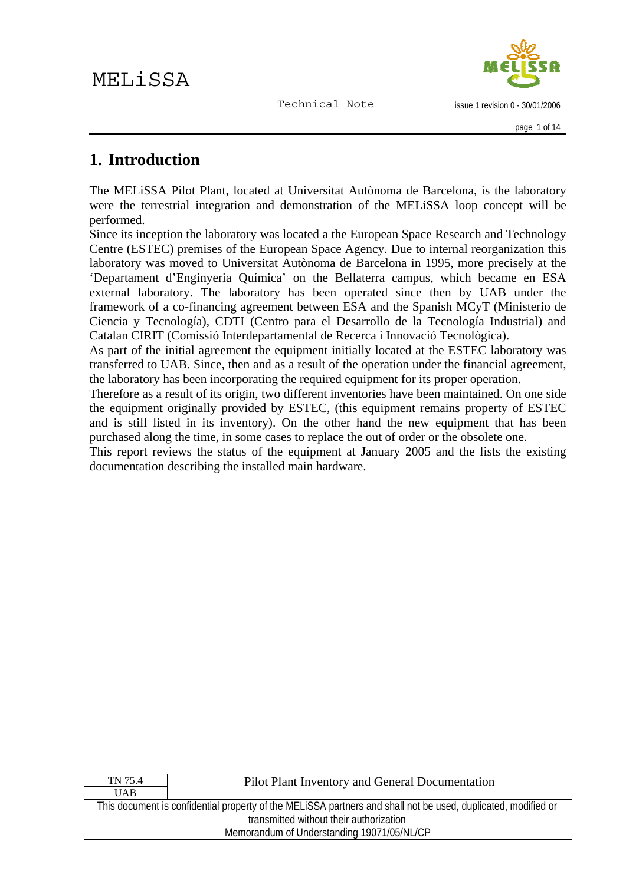

## <span id="page-3-0"></span>**1. Introduction**

The MELiSSA Pilot Plant, located at Universitat Autònoma de Barcelona, is the laboratory were the terrestrial integration and demonstration of the MELiSSA loop concept will be performed.

Since its inception the laboratory was located a the European Space Research and Technology Centre (ESTEC) premises of the European Space Agency. Due to internal reorganization this laboratory was moved to Universitat Autònoma de Barcelona in 1995, more precisely at the 'Departament d'Enginyeria Química' on the Bellaterra campus, which became en ESA external laboratory. The laboratory has been operated since then by UAB under the framework of a co-financing agreement between ESA and the Spanish MCyT (Ministerio de Ciencia y Tecnología), CDTI (Centro para el Desarrollo de la Tecnología Industrial) and Catalan CIRIT (Comissió Interdepartamental de Recerca i Innovació Tecnològica).

As part of the initial agreement the equipment initially located at the ESTEC laboratory was transferred to UAB. Since, then and as a result of the operation under the financial agreement, the laboratory has been incorporating the required equipment for its proper operation.

Therefore as a result of its origin, two different inventories have been maintained. On one side the equipment originally provided by ESTEC, (this equipment remains property of ESTEC and is still listed in its inventory). On the other hand the new equipment that has been purchased along the time, in some cases to replace the out of order or the obsolete one.

This report reviews the status of the equipment at January 2005 and the lists the existing documentation describing the installed main hardware.

| Pilot Plant Inventory and General Documentation                                                               |  |  |  |  |  |
|---------------------------------------------------------------------------------------------------------------|--|--|--|--|--|
|                                                                                                               |  |  |  |  |  |
| This document is confidential property of the MELISSA partners and shall not be used, duplicated, modified or |  |  |  |  |  |
| transmitted without their authorization                                                                       |  |  |  |  |  |
| Memorandum of Understanding 19071/05/NL/CP                                                                    |  |  |  |  |  |
|                                                                                                               |  |  |  |  |  |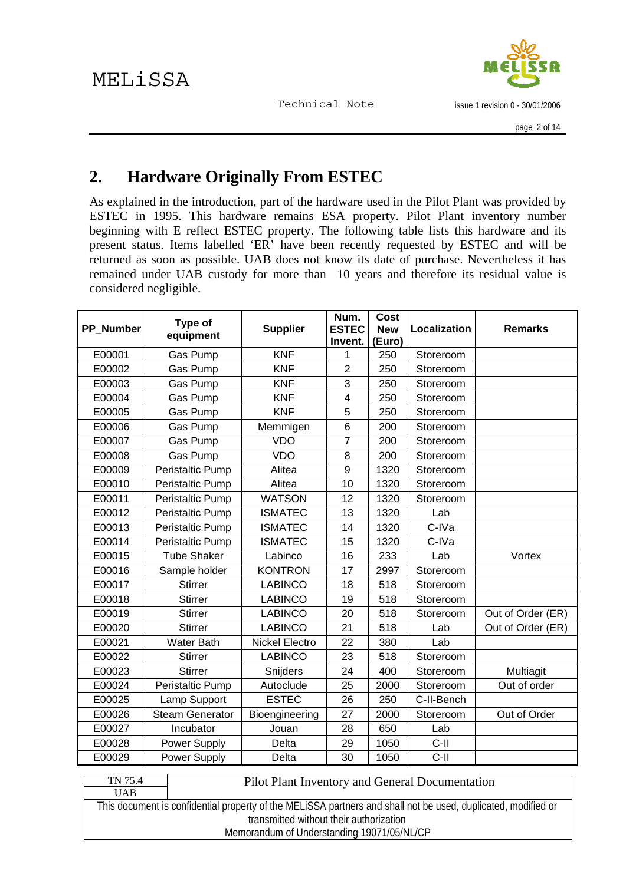issue 1 revision 0 - 30/01/2006

## <span id="page-4-0"></span>**2. Hardware Originally From ESTEC**

As explained in the introduction, part of the hardware used in the Pilot Plant was provided by ESTEC in 1995. This hardware remains ESA property. Pilot Plant inventory number beginning with E reflect ESTEC property. The following table lists this hardware and its present status. Items labelled 'ER' have been recently requested by ESTEC and will be returned as soon as possible. UAB does not know its date of purchase. Nevertheless it has remained under UAB custody for more than 10 years and therefore its residual value is considered negligible.

|           | Type of                |                       | Num.                    | <b>Cost</b>   |              |                   |
|-----------|------------------------|-----------------------|-------------------------|---------------|--------------|-------------------|
| PP_Number | equipment              | <b>Supplier</b>       | <b>ESTEC</b><br>Invent. | <b>New</b>    | Localization | <b>Remarks</b>    |
| E00001    | Gas Pump               | <b>KNF</b>            | 1                       | (Euro)<br>250 | Storeroom    |                   |
| E00002    | Gas Pump               | <b>KNF</b>            | $\overline{2}$          | 250           | Storeroom    |                   |
| E00003    | Gas Pump               | <b>KNF</b>            | 3                       | 250           | Storeroom    |                   |
| E00004    | Gas Pump               | <b>KNF</b>            | $\overline{\mathbf{4}}$ | 250           | Storeroom    |                   |
| E00005    | Gas Pump               | <b>KNF</b>            | 5                       | 250           | Storeroom    |                   |
| E00006    | Gas Pump               | Memmigen              | 6                       | 200           | Storeroom    |                   |
| E00007    | <b>Gas Pump</b>        | <b>VDO</b>            | $\overline{7}$          | 200           | Storeroom    |                   |
| E00008    | Gas Pump               | <b>VDO</b>            | 8                       | 200           | Storeroom    |                   |
| E00009    | Peristaltic Pump       | Alitea                | 9                       | 1320          | Storeroom    |                   |
| E00010    | Peristaltic Pump       | Alitea                | 10                      | 1320          | Storeroom    |                   |
| E00011    | Peristaltic Pump       | <b>WATSON</b>         | 12                      | 1320          | Storeroom    |                   |
| E00012    | Peristaltic Pump       | <b>ISMATEC</b>        | 13                      | 1320          | Lab          |                   |
| E00013    | Peristaltic Pump       | <b>ISMATEC</b>        | 14                      | 1320          | C-IVa        |                   |
| E00014    | Peristaltic Pump       | <b>ISMATEC</b>        | 15                      | 1320          | C-IVa        |                   |
| E00015    | <b>Tube Shaker</b>     | Labinco               | 16                      | 233           | Lab          | Vortex            |
| E00016    | Sample holder          | <b>KONTRON</b>        | 17                      | 2997          | Storeroom    |                   |
| E00017    | <b>Stirrer</b>         | <b>LABINCO</b>        | 18                      | 518           | Storeroom    |                   |
| E00018    | <b>Stirrer</b>         | <b>LABINCO</b>        | 19                      | 518           | Storeroom    |                   |
| E00019    | <b>Stirrer</b>         | <b>LABINCO</b>        | 20                      | 518           | Storeroom    | Out of Order (ER) |
| E00020    | <b>Stirrer</b>         | <b>LABINCO</b>        | 21                      | 518           | Lab          | Out of Order (ER) |
| E00021    | <b>Water Bath</b>      | <b>Nickel Electro</b> | 22                      | 380           | Lab          |                   |
| E00022    | <b>Stirrer</b>         | <b>LABINCO</b>        | 23                      | 518           | Storeroom    |                   |
| E00023    | <b>Stirrer</b>         | Snijders              | 24                      | 400           | Storeroom    | Multiagit         |
| E00024    | Peristaltic Pump       | Autoclude             | 25                      | 2000          | Storeroom    | Out of order      |
| E00025    | Lamp Support           | <b>ESTEC</b>          | 26                      | 250           | C-II-Bench   |                   |
| E00026    | <b>Steam Generator</b> | Bioengineering        | 27                      | 2000          | Storeroom    | Out of Order      |
| E00027    | Incubator              | Jouan                 | 28                      | 650           | Lab          |                   |
| E00028    | Power Supply           | Delta                 | 29                      | 1050          | $C-II$       |                   |
| E00029    | Power Supply           | Delta                 | 30                      | 1050          | $C-II$       |                   |

| TN 75.4 | Pilot Plant Inventory and General Documentation                                                               |
|---------|---------------------------------------------------------------------------------------------------------------|
| UAB.    |                                                                                                               |
|         | This document is confidential property of the MELISSA partners and shall not be used, duplicated, modified or |
|         | transmitted without their authorization                                                                       |
|         | Memorandum of Understanding 19071/05/NL/CP                                                                    |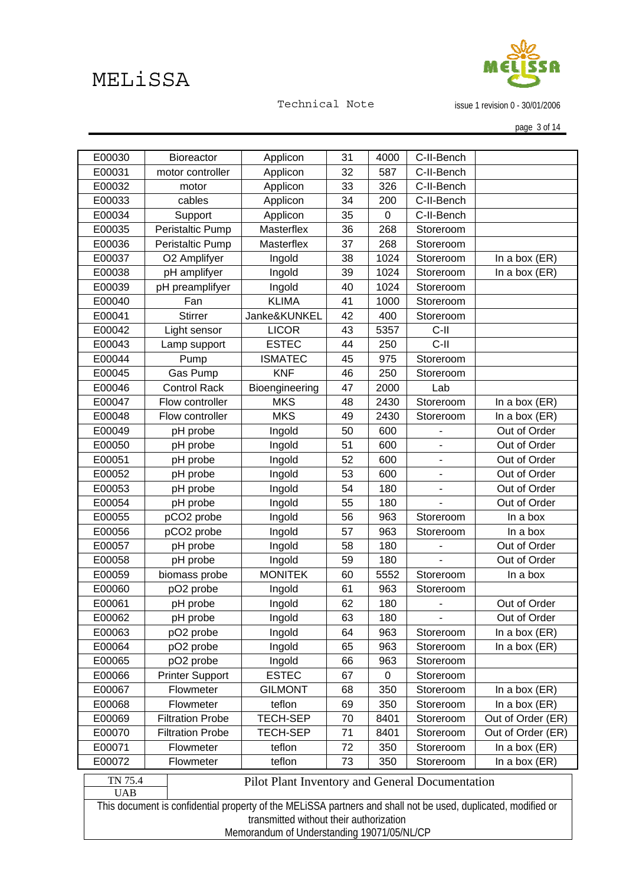

Technical Note

issue 1 revision 0 - 30/01/2006

page 3 of 14

| E00030                                     | <b>Bioreactor</b>                                                                                             | Applicon                                        | 31 | 4000     | C-II-Bench               |                   |
|--------------------------------------------|---------------------------------------------------------------------------------------------------------------|-------------------------------------------------|----|----------|--------------------------|-------------------|
| E00031                                     | motor controller                                                                                              | Applicon                                        | 32 | 587      | C-II-Bench               |                   |
| E00032                                     | motor                                                                                                         | Applicon                                        | 33 | 326      | C-II-Bench               |                   |
| E00033                                     | cables                                                                                                        | Applicon                                        | 34 | 200      | C-II-Bench               |                   |
| E00034                                     | Support                                                                                                       | Applicon                                        | 35 | 0        | C-II-Bench               |                   |
| E00035                                     | Peristaltic Pump                                                                                              | Masterflex                                      | 36 | 268      | Storeroom                |                   |
| E00036                                     | Peristaltic Pump                                                                                              | Masterflex                                      | 37 | 268      | Storeroom                |                   |
| E00037                                     | O2 Amplifyer                                                                                                  | Ingold                                          | 38 | 1024     | Storeroom                | In a box $(ER)$   |
| E00038                                     | pH amplifyer                                                                                                  | Ingold                                          | 39 | 1024     | Storeroom                | In a box $(ER)$   |
| E00039                                     | pH preamplifyer                                                                                               | Ingold                                          | 40 | 1024     | Storeroom                |                   |
| E00040                                     | Fan                                                                                                           | <b>KLIMA</b>                                    | 41 | 1000     | Storeroom                |                   |
| E00041                                     | <b>Stirrer</b>                                                                                                | Janke&KUNKEL                                    | 42 | 400      | Storeroom                |                   |
| E00042                                     | Light sensor                                                                                                  | <b>LICOR</b>                                    | 43 | 5357     | $C-II$                   |                   |
| E00043                                     | Lamp support                                                                                                  | <b>ESTEC</b>                                    | 44 | 250      | $C-II$                   |                   |
| E00044                                     | Pump                                                                                                          | <b>ISMATEC</b>                                  | 45 | 975      | Storeroom                |                   |
| E00045                                     | Gas Pump                                                                                                      | <b>KNF</b>                                      | 46 | 250      | Storeroom                |                   |
| E00046                                     | <b>Control Rack</b>                                                                                           | Bioengineering                                  | 47 | 2000     | Lab                      |                   |
| E00047                                     | Flow controller                                                                                               | <b>MKS</b>                                      | 48 | 2430     | Storeroom                | In a box $(ER)$   |
| E00048                                     | Flow controller                                                                                               | <b>MKS</b>                                      | 49 | 2430     | Storeroom                | In a box (ER)     |
| E00049                                     | pH probe                                                                                                      | Ingold                                          | 50 | 600      |                          | Out of Order      |
| E00050                                     | pH probe                                                                                                      | Ingold                                          | 51 | 600      |                          | Out of Order      |
| E00051                                     | pH probe                                                                                                      | Ingold                                          | 52 | 600      | $\overline{\phantom{0}}$ | Out of Order      |
| E00052                                     | pH probe                                                                                                      | Ingold                                          | 53 | 600      | $\overline{\phantom{0}}$ | Out of Order      |
| E00053                                     | pH probe                                                                                                      | Ingold                                          | 54 | 180      |                          | Out of Order      |
| E00054                                     | pH probe                                                                                                      | Ingold                                          | 55 | 180      |                          | Out of Order      |
| E00055                                     | pCO2 probe                                                                                                    | Ingold                                          | 56 | 963      | Storeroom                | In a box          |
| E00056                                     | pCO2 probe                                                                                                    | Ingold                                          | 57 | 963      | Storeroom                | In a box          |
| E00057                                     | pH probe                                                                                                      | Ingold                                          | 58 | 180      |                          | Out of Order      |
| E00058                                     | pH probe                                                                                                      | Ingold                                          | 59 | 180      |                          | Out of Order      |
| E00059                                     | biomass probe                                                                                                 | <b>MONITEK</b>                                  | 60 | 5552     | Storeroom                | In a box          |
| E00060                                     | pO2 probe                                                                                                     | Ingold                                          | 61 | 963      | Storeroom                |                   |
| E00061                                     | pH probe                                                                                                      | Ingold                                          | 62 | 180      |                          | Out of Order      |
| E00062                                     | pH probe                                                                                                      | Ingold                                          | 63 | 180      |                          | Out of Order      |
| E00063                                     | pO2 probe                                                                                                     | Ingold                                          | 64 | 963      | Storeroom                | In a box $(ER)$   |
| E00064                                     | pO2 probe                                                                                                     | Ingold                                          | 65 | 963      | Storeroom                | In a box $(ER)$   |
| E00065                                     | pO2 probe                                                                                                     | Ingold                                          | 66 | 963      | Storeroom                |                   |
| E00066                                     | <b>Printer Support</b>                                                                                        | <b>ESTEC</b>                                    | 67 | $\Omega$ | Storeroom                |                   |
| E00067                                     | Flowmeter                                                                                                     | <b>GILMONT</b>                                  | 68 | 350      | Storeroom                | In a box $(ER)$   |
| E00068                                     | Flowmeter                                                                                                     | teflon                                          | 69 | 350      | Storeroom                | In a box $(ER)$   |
| E00069                                     | <b>Filtration Probe</b>                                                                                       | <b>TECH-SEP</b>                                 | 70 | 8401     | Storeroom                | Out of Order (ER) |
| E00070                                     | <b>Filtration Probe</b>                                                                                       | <b>TECH-SEP</b>                                 | 71 | 8401     | Storeroom                | Out of Order (ER) |
| E00071                                     | Flowmeter                                                                                                     | teflon                                          | 72 | 350      | Storeroom                | In a box $(ER)$   |
| E00072                                     | Flowmeter                                                                                                     | teflon                                          | 73 | 350      | Storeroom                | In a box $(ER)$   |
| TN 75.4                                    |                                                                                                               |                                                 |    |          |                          |                   |
| <b>UAB</b>                                 |                                                                                                               | Pilot Plant Inventory and General Documentation |    |          |                          |                   |
|                                            | This document is confidential property of the MELISSA partners and shall not be used, duplicated, modified or |                                                 |    |          |                          |                   |
|                                            |                                                                                                               | transmitted without their authorization         |    |          |                          |                   |
| Memorandum of Understanding 19071/05/NL/CP |                                                                                                               |                                                 |    |          |                          |                   |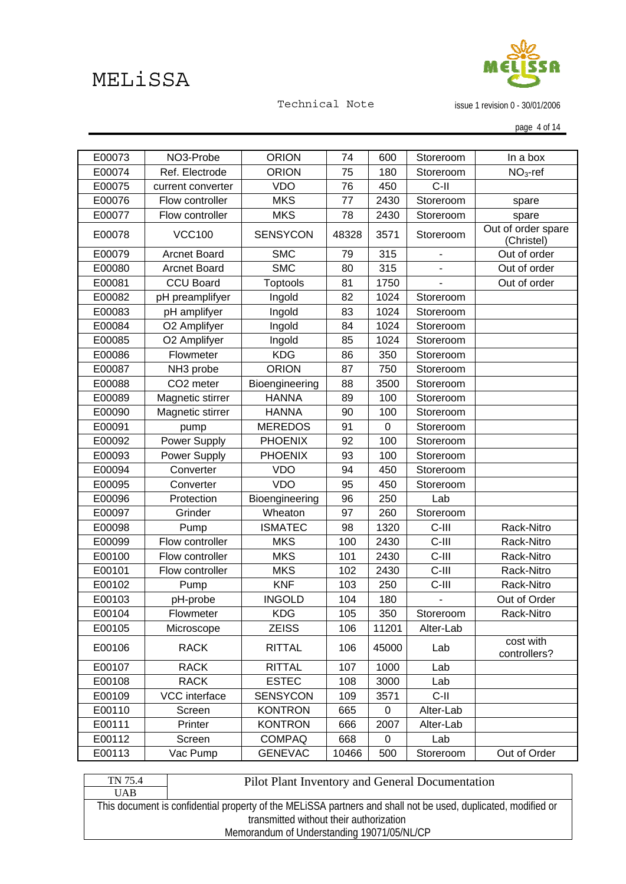

Technical Note

issue 1 revision 0 - 30/01/2006

page 4 of 14

| E00073 | NO3-Probe             | <b>ORION</b>    | 74    | 600   | Storeroom | In a box                         |
|--------|-----------------------|-----------------|-------|-------|-----------|----------------------------------|
| E00074 | Ref. Electrode        | <b>ORION</b>    | 75    | 180   | Storeroom | $NO3$ -ref                       |
| E00075 | current converter     | VDO             | 76    | 450   | $C-II$    |                                  |
| E00076 | Flow controller       | <b>MKS</b>      | 77    | 2430  | Storeroom | spare                            |
| E00077 | Flow controller       | <b>MKS</b>      | 78    | 2430  | Storeroom | spare                            |
| E00078 | <b>VCC100</b>         | <b>SENSYCON</b> | 48328 | 3571  | Storeroom | Out of order spare<br>(Christel) |
| E00079 | <b>Arcnet Board</b>   | <b>SMC</b>      | 79    | 315   |           | Out of order                     |
| E00080 | <b>Arcnet Board</b>   | <b>SMC</b>      | 80    | 315   |           | Out of order                     |
| E00081 | <b>CCU Board</b>      | <b>Toptools</b> | 81    | 1750  |           | Out of order                     |
| E00082 | pH preamplifyer       | Ingold          | 82    | 1024  | Storeroom |                                  |
| E00083 | pH amplifyer          | Ingold          | 83    | 1024  | Storeroom |                                  |
| E00084 | O2 Amplifyer          | Ingold          | 84    | 1024  | Storeroom |                                  |
| E00085 | O2 Amplifyer          | Ingold          | 85    | 1024  | Storeroom |                                  |
| E00086 | Flowmeter             | <b>KDG</b>      | 86    | 350   | Storeroom |                                  |
| E00087 | NH <sub>3</sub> probe | <b>ORION</b>    | 87    | 750   | Storeroom |                                  |
| E00088 | CO <sub>2</sub> meter | Bioengineering  | 88    | 3500  | Storeroom |                                  |
| E00089 | Magnetic stirrer      | <b>HANNA</b>    | 89    | 100   | Storeroom |                                  |
| E00090 | Magnetic stirrer      | <b>HANNA</b>    | 90    | 100   | Storeroom |                                  |
| E00091 | pump                  | <b>MEREDOS</b>  | 91    | 0     | Storeroom |                                  |
| E00092 | Power Supply          | <b>PHOENIX</b>  | 92    | 100   | Storeroom |                                  |
| E00093 | Power Supply          | <b>PHOENIX</b>  | 93    | 100   | Storeroom |                                  |
| E00094 | Converter             | <b>VDO</b>      | 94    | 450   | Storeroom |                                  |
| E00095 | Converter             | <b>VDO</b>      | 95    | 450   | Storeroom |                                  |
| E00096 | Protection            | Bioengineering  | 96    | 250   | Lab       |                                  |
| E00097 | Grinder               | Wheaton         | 97    | 260   | Storeroom |                                  |
| E00098 | Pump                  | <b>ISMATEC</b>  | 98    | 1320  | C-III     | Rack-Nitro                       |
| E00099 | Flow controller       | <b>MKS</b>      | 100   | 2430  | C-III     | Rack-Nitro                       |
| E00100 | Flow controller       | <b>MKS</b>      | 101   | 2430  | C-III     | Rack-Nitro                       |
| E00101 | Flow controller       | <b>MKS</b>      | 102   | 2430  | C-III     | Rack-Nitro                       |
| E00102 | Pump                  | <b>KNF</b>      | 103   | 250   | $C$ -III  | Rack-Nitro                       |
| E00103 | pH-probe              | <b>INGOLD</b>   | 104   | 180   |           | Out of Order                     |
| E00104 | Flowmeter             | <b>KDG</b>      | 105   | 350   | Storeroom | Rack-Nitro                       |
| E00105 | Microscope            | <b>ZEISS</b>    | 106   | 11201 | Alter-Lab |                                  |
| E00106 | <b>RACK</b>           | <b>RITTAL</b>   | 106   | 45000 | Lab       | cost with<br>controllers?        |
| E00107 | <b>RACK</b>           | <b>RITTAL</b>   | 107   | 1000  | Lab       |                                  |
| E00108 | <b>RACK</b>           | <b>ESTEC</b>    | 108   | 3000  | Lab       |                                  |
| E00109 | VCC interface         | <b>SENSYCON</b> | 109   | 3571  | C-II      |                                  |
| E00110 | Screen                | <b>KONTRON</b>  | 665   | 0     | Alter-Lab |                                  |
| E00111 | Printer               | <b>KONTRON</b>  | 666   | 2007  | Alter-Lab |                                  |
| E00112 | Screen                | <b>COMPAQ</b>   | 668   | 0     | Lab       |                                  |
| E00113 | Vac Pump              | <b>GENEVAC</b>  | 10466 | 500   | Storeroom | Out of Order                     |

| Pilot Plant Inventory and General Documentation                                                               |  |  |  |  |  |  |
|---------------------------------------------------------------------------------------------------------------|--|--|--|--|--|--|
|                                                                                                               |  |  |  |  |  |  |
| This document is confidential property of the MELISSA partners and shall not be used, duplicated, modified or |  |  |  |  |  |  |
| transmitted without their authorization                                                                       |  |  |  |  |  |  |
| Memorandum of Understanding 19071/05/NL/CP                                                                    |  |  |  |  |  |  |
|                                                                                                               |  |  |  |  |  |  |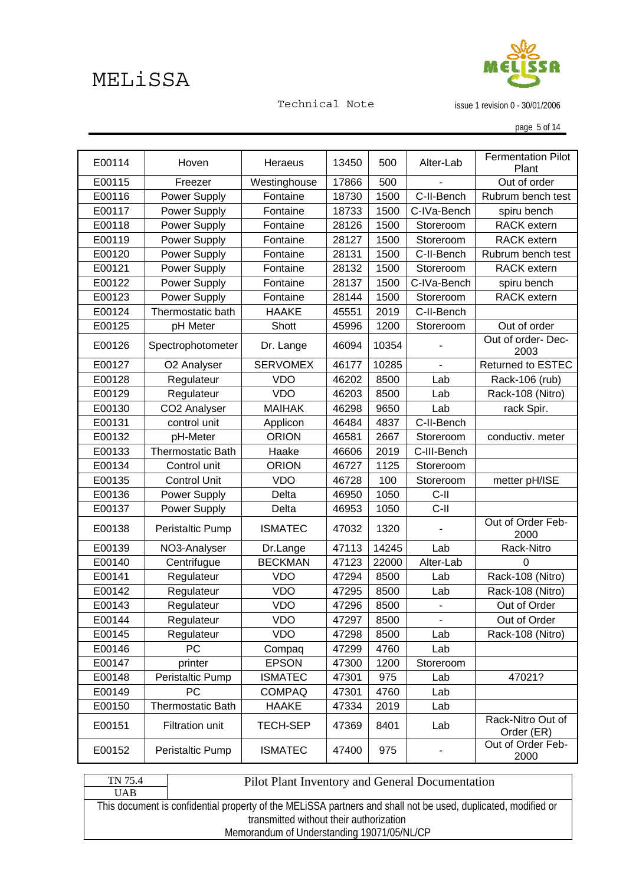

#### Technical Note

issue 1 revision 0 - 30/01/2006

page 5 of 14

| E00114 | Hoven                    | Heraeus         | 13450 | 500   | Alter-Lab      | <b>Fermentation Pilot</b><br>Plant |
|--------|--------------------------|-----------------|-------|-------|----------------|------------------------------------|
| E00115 | Freezer                  | Westinghouse    | 17866 | 500   |                | Out of order                       |
| E00116 | Power Supply             | Fontaine        | 18730 | 1500  | C-II-Bench     | Rubrum bench test                  |
| E00117 | Power Supply             | Fontaine        | 18733 | 1500  | C-IVa-Bench    | spiru bench                        |
| E00118 | Power Supply             | Fontaine        | 28126 | 1500  | Storeroom      | <b>RACK</b> extern                 |
| E00119 | Power Supply             | Fontaine        | 28127 | 1500  | Storeroom      | <b>RACK</b> extern                 |
| E00120 | Power Supply             | Fontaine        | 28131 | 1500  | C-II-Bench     | Rubrum bench test                  |
| E00121 | Power Supply             | Fontaine        | 28132 | 1500  | Storeroom      | <b>RACK</b> extern                 |
| E00122 | Power Supply             | Fontaine        | 28137 | 1500  | C-IVa-Bench    | spiru bench                        |
| E00123 | Power Supply             | Fontaine        | 28144 | 1500  | Storeroom      | RACK extern                        |
| E00124 | Thermostatic bath        | <b>HAAKE</b>    | 45551 | 2019  | C-II-Bench     |                                    |
| E00125 | pH Meter                 | Shott           | 45996 | 1200  | Storeroom      | Out of order                       |
| E00126 | Spectrophotometer        | Dr. Lange       | 46094 | 10354 |                | Out of order-Dec-<br>2003          |
| E00127 | O <sub>2</sub> Analyser  | <b>SERVOMEX</b> | 46177 | 10285 | $\blacksquare$ | <b>Returned to ESTEC</b>           |
| E00128 | Regulateur               | <b>VDO</b>      | 46202 | 8500  | Lab            | Rack-106 (rub)                     |
| E00129 | Regulateur               | <b>VDO</b>      | 46203 | 8500  | Lab            | Rack-108 (Nitro)                   |
| E00130 | CO2 Analyser             | <b>MAIHAK</b>   | 46298 | 9650  | Lab            | rack Spir.                         |
| E00131 | control unit             | Applicon        | 46484 | 4837  | C-II-Bench     |                                    |
| E00132 | pH-Meter                 | <b>ORION</b>    | 46581 | 2667  | Storeroom      | conductiv. meter                   |
| E00133 | Thermostatic Bath        | Haake           | 46606 | 2019  | C-III-Bench    |                                    |
| E00134 | Control unit             | <b>ORION</b>    | 46727 | 1125  | Storeroom      |                                    |
| E00135 | <b>Control Unit</b>      | VDO             | 46728 | 100   | Storeroom      | metter pH/ISE                      |
| E00136 | Power Supply             | Delta           | 46950 | 1050  | $C-II$         |                                    |
| E00137 | Power Supply             | Delta           | 46953 | 1050  | $C-II$         |                                    |
| E00138 | Peristaltic Pump         | <b>ISMATEC</b>  | 47032 | 1320  |                | Out of Order Feb-<br>2000          |
| E00139 | NO3-Analyser             | Dr.Lange        | 47113 | 14245 | Lab            | Rack-Nitro                         |
| E00140 | Centrifugue              | <b>BECKMAN</b>  | 47123 | 22000 | Alter-Lab      | $\mathbf 0$                        |
| E00141 | Regulateur               | <b>VDO</b>      | 47294 | 8500  | Lab            | Rack-108 (Nitro)                   |
| E00142 | Regulateur               | <b>VDO</b>      | 47295 | 8500  | Lab            | Rack-108 (Nitro)                   |
| E00143 | Regulateur               | <b>VDO</b>      | 47296 | 8500  | $\blacksquare$ | Out of Order                       |
| E00144 | Regulateur               | <b>VDO</b>      | 47297 | 8500  |                | Out of Order                       |
| E00145 | Regulateur               | <b>VDO</b>      | 47298 | 8500  | Lab            | Rack-108 (Nitro)                   |
| E00146 | PC                       | Compaq          | 47299 | 4760  | Lab            |                                    |
| E00147 | printer                  | <b>EPSON</b>    | 47300 | 1200  | Storeroom      |                                    |
| E00148 | Peristaltic Pump         | <b>ISMATEC</b>  | 47301 | 975   | Lab            | 47021?                             |
| E00149 | PC                       | <b>COMPAQ</b>   | 47301 | 4760  | Lab            |                                    |
| E00150 | <b>Thermostatic Bath</b> | <b>HAAKE</b>    | 47334 | 2019  | Lab            |                                    |
| E00151 | <b>Filtration unit</b>   | <b>TECH-SEP</b> | 47369 | 8401  | Lab            | Rack-Nitro Out of<br>Order (ER)    |
| E00152 | Peristaltic Pump         | <b>ISMATEC</b>  | 47400 | 975   |                | Out of Order Feb-<br>2000          |

| Pilot Plant Inventory and General Documentation                                                               |  |  |  |  |  |
|---------------------------------------------------------------------------------------------------------------|--|--|--|--|--|
|                                                                                                               |  |  |  |  |  |
| This document is confidential property of the MELISSA partners and shall not be used, duplicated, modified or |  |  |  |  |  |
| transmitted without their authorization                                                                       |  |  |  |  |  |
| Memorandum of Understanding 19071/05/NL/CP                                                                    |  |  |  |  |  |
|                                                                                                               |  |  |  |  |  |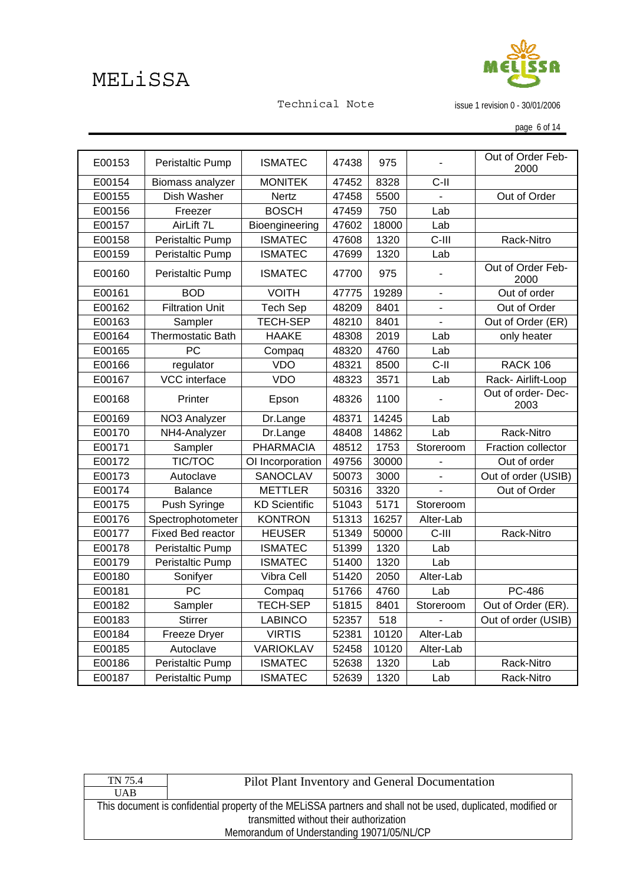

#### Technical Note

issue 1 revision 0 - 30/01/2006

page 6 of 14

| E00153 | Peristaltic Pump         | <b>ISMATEC</b>       | 47438 | 975   | $\blacksquare$ | Out of Order Feb-<br>2000 |
|--------|--------------------------|----------------------|-------|-------|----------------|---------------------------|
| E00154 | Biomass analyzer         | <b>MONITEK</b>       | 47452 | 8328  | $C-II$         |                           |
| E00155 | Dish Washer              | Nertz                | 47458 | 5500  |                | Out of Order              |
| E00156 | Freezer                  | <b>BOSCH</b>         | 47459 | 750   | Lab            |                           |
| E00157 | AirLift 7L               | Bioengineering       | 47602 | 18000 | Lab            |                           |
| E00158 | Peristaltic Pump         | <b>ISMATEC</b>       | 47608 | 1320  | C-III          | Rack-Nitro                |
| E00159 | Peristaltic Pump         | <b>ISMATEC</b>       | 47699 | 1320  | Lab            |                           |
| E00160 | Peristaltic Pump         | <b>ISMATEC</b>       | 47700 | 975   |                | Out of Order Feb-<br>2000 |
| E00161 | <b>BOD</b>               | <b>VOITH</b>         | 47775 | 19289 | $\blacksquare$ | Out of order              |
| E00162 | <b>Filtration Unit</b>   | <b>Tech Sep</b>      | 48209 | 8401  | $\blacksquare$ | Out of Order              |
| E00163 | Sampler                  | <b>TECH-SEP</b>      | 48210 | 8401  | $\blacksquare$ | Out of Order (ER)         |
| E00164 | <b>Thermostatic Bath</b> | <b>HAAKE</b>         | 48308 | 2019  | Lab            | only heater               |
| E00165 | <b>PC</b>                | Compaq               | 48320 | 4760  | Lab            |                           |
| E00166 | regulator                | <b>VDO</b>           | 48321 | 8500  | $C-II$         | <b>RACK 106</b>           |
| E00167 | <b>VCC</b> interface     | <b>VDO</b>           | 48323 | 3571  | Lab            | Rack-Airlift-Loop         |
| E00168 | Printer                  | Epson                | 48326 | 1100  |                | Out of order-Dec-<br>2003 |
| E00169 | NO3 Analyzer             | Dr.Lange             | 48371 | 14245 | Lab            |                           |
| E00170 | NH4-Analyzer             | Dr.Lange             | 48408 | 14862 | Lab            | Rack-Nitro                |
| E00171 | Sampler                  | <b>PHARMACIA</b>     | 48512 | 1753  | Storeroom      | Fraction collector        |
| E00172 | TIC/TOC                  | OI Incorporation     | 49756 | 30000 |                | Out of order              |
| E00173 | Autoclave                | SANOCLAV             | 50073 | 3000  |                | Out of order (USIB)       |
| E00174 | <b>Balance</b>           | <b>METTLER</b>       | 50316 | 3320  |                | Out of Order              |
| E00175 | Push Syringe             | <b>KD Scientific</b> | 51043 | 5171  | Storeroom      |                           |
| E00176 | Spectrophotometer        | <b>KONTRON</b>       | 51313 | 16257 | Alter-Lab      |                           |
| E00177 | Fixed Bed reactor        | <b>HEUSER</b>        | 51349 | 50000 | C-III          | Rack-Nitro                |
| E00178 | Peristaltic Pump         | <b>ISMATEC</b>       | 51399 | 1320  | Lab            |                           |
| E00179 | Peristaltic Pump         | <b>ISMATEC</b>       | 51400 | 1320  | Lab            |                           |
| E00180 | Sonifyer                 | Vibra Cell           | 51420 | 2050  | Alter-Lab      |                           |
| E00181 | PC                       | Compaq               | 51766 | 4760  | Lab            | PC-486                    |
| E00182 | Sampler                  | <b>TECH-SEP</b>      | 51815 | 8401  | Storeroom      | Out of Order (ER).        |
| E00183 | <b>Stirrer</b>           | <b>LABINCO</b>       | 52357 | 518   |                | Out of order (USIB)       |
| E00184 | Freeze Dryer             | <b>VIRTIS</b>        | 52381 | 10120 | Alter-Lab      |                           |
| E00185 | Autoclave                | VARIOKLAV            | 52458 | 10120 | Alter-Lab      |                           |
| E00186 | Peristaltic Pump         | <b>ISMATEC</b>       | 52638 | 1320  | Lab            | Rack-Nitro                |
| E00187 | Peristaltic Pump         | <b>ISMATEC</b>       | 52639 | 1320  | Lab            | Rack-Nitro                |

| Pilot Plant Inventory and General Documentation                                                               |  |  |  |  |  |  |
|---------------------------------------------------------------------------------------------------------------|--|--|--|--|--|--|
|                                                                                                               |  |  |  |  |  |  |
| This document is confidential property of the MELISSA partners and shall not be used, duplicated, modified or |  |  |  |  |  |  |
| transmitted without their authorization                                                                       |  |  |  |  |  |  |
| Memorandum of Understanding 19071/05/NL/CP                                                                    |  |  |  |  |  |  |
|                                                                                                               |  |  |  |  |  |  |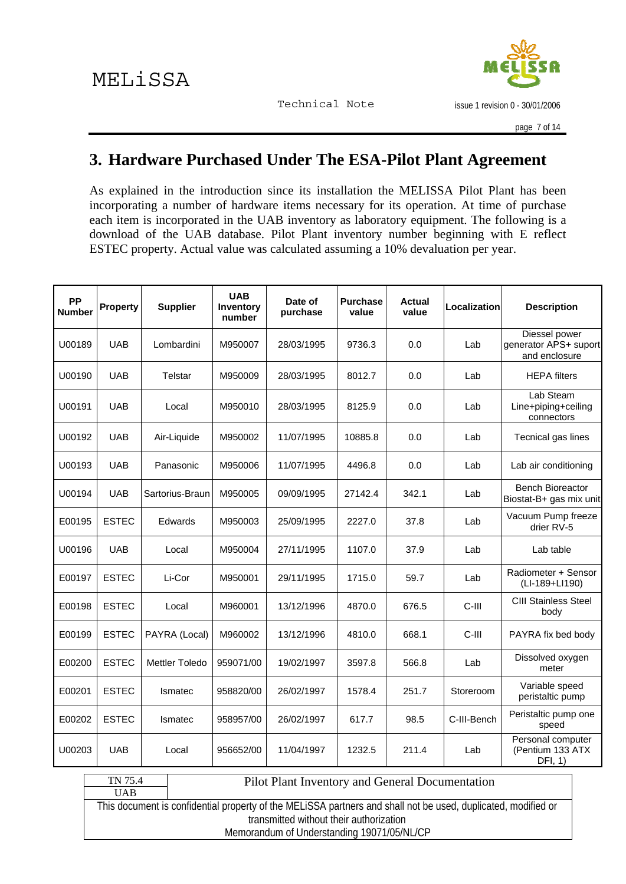

page 7 of 14

## <span id="page-9-0"></span>**3. Hardware Purchased Under The ESA-Pilot Plant Agreement**

As explained in the introduction since its installation the MELISSA Pilot Plant has been incorporating a number of hardware items necessary for its operation. At time of purchase each item is incorporated in the UAB inventory as laboratory equipment. The following is a download of the UAB database. Pilot Plant inventory number beginning with E reflect ESTEC property. Actual value was calculated assuming a 10% devaluation per year.

| <b>PP</b><br><b>Number</b> | <b>Property</b> | <b>Supplier</b>       | <b>UAB</b><br>Inventory<br>number | Date of<br>purchase | <b>Purchase</b><br>value | Actual<br>value | Localization | <b>Description</b>                                      |
|----------------------------|-----------------|-----------------------|-----------------------------------|---------------------|--------------------------|-----------------|--------------|---------------------------------------------------------|
| U00189                     | <b>UAB</b>      | Lombardini            | M950007                           | 28/03/1995          | 9736.3                   | 0.0             | Lab          | Diessel power<br>generator APS+ suport<br>and enclosure |
| U00190                     | <b>UAB</b>      | Telstar               | M950009                           | 28/03/1995          | 8012.7                   | 0.0             | Lab          | <b>HEPA</b> filters                                     |
| U00191                     | <b>UAB</b>      | Local                 | M950010                           | 28/03/1995          | 8125.9                   | 0.0             | Lab          | Lab Steam<br>Line+piping+ceiling<br>connectors          |
| U00192                     | <b>UAB</b>      | Air-Liquide           | M950002                           | 11/07/1995          | 10885.8                  | 0.0             | Lab          | Tecnical gas lines                                      |
| U00193                     | <b>UAB</b>      | Panasonic             | M950006                           | 11/07/1995          | 4496.8                   | 0.0             | Lab          | Lab air conditioning                                    |
| U00194                     | <b>UAB</b>      | Sartorius-Braun       | M950005                           | 09/09/1995          | 27142.4                  | 342.1           | Lab          | <b>Bench Bioreactor</b><br>Biostat-B+ gas mix unit      |
| E00195                     | <b>ESTEC</b>    | Edwards               | M950003                           | 25/09/1995          | 2227.0                   | 37.8            | Lab          | Vacuum Pump freeze<br>drier RV-5                        |
| U00196                     | <b>UAB</b>      | Local                 | M950004                           | 27/11/1995          | 1107.0                   | 37.9            | Lab          | Lab table                                               |
| E00197                     | <b>ESTEC</b>    | Li-Cor                | M950001                           | 29/11/1995          | 1715.0                   | 59.7            | Lab          | Radiometer + Sensor<br>(LI-189+LI190)                   |
| E00198                     | <b>ESTEC</b>    | Local                 | M960001                           | 13/12/1996          | 4870.0                   | 676.5           | C-III        | <b>CIII Stainless Steel</b><br>body                     |
| E00199                     | <b>ESTEC</b>    | PAYRA (Local)         | M960002                           | 13/12/1996          | 4810.0                   | 668.1           | C-III        | PAYRA fix bed body                                      |
| E00200                     | <b>ESTEC</b>    | <b>Mettler Toledo</b> | 959071/00                         | 19/02/1997          | 3597.8                   | 566.8           | Lab          | Dissolved oxygen<br>meter                               |
| E00201                     | <b>ESTEC</b>    | Ismatec               | 958820/00                         | 26/02/1997          | 1578.4                   | 251.7           | Storeroom    | Variable speed<br>peristaltic pump                      |
| E00202                     | <b>ESTEC</b>    | Ismatec               | 958957/00                         | 26/02/1997          | 617.7                    | 98.5            | C-III-Bench  | Peristaltic pump one<br>speed                           |
| U00203                     | <b>UAB</b>      | Local                 | 956652/00                         | 11/04/1997          | 1232.5                   | 211.4           | Lab          | Personal computer<br>(Pentium 133 ATX<br>DFI, 1)        |

| TN 75.4                                    | Pilot Plant Inventory and General Documentation                                                               |  |  |  |  |  |
|--------------------------------------------|---------------------------------------------------------------------------------------------------------------|--|--|--|--|--|
| <b>UAB</b>                                 |                                                                                                               |  |  |  |  |  |
|                                            | This document is confidential property of the MELISSA partners and shall not be used, duplicated, modified or |  |  |  |  |  |
| transmitted without their authorization    |                                                                                                               |  |  |  |  |  |
| Memorandum of Understanding 19071/05/NL/CP |                                                                                                               |  |  |  |  |  |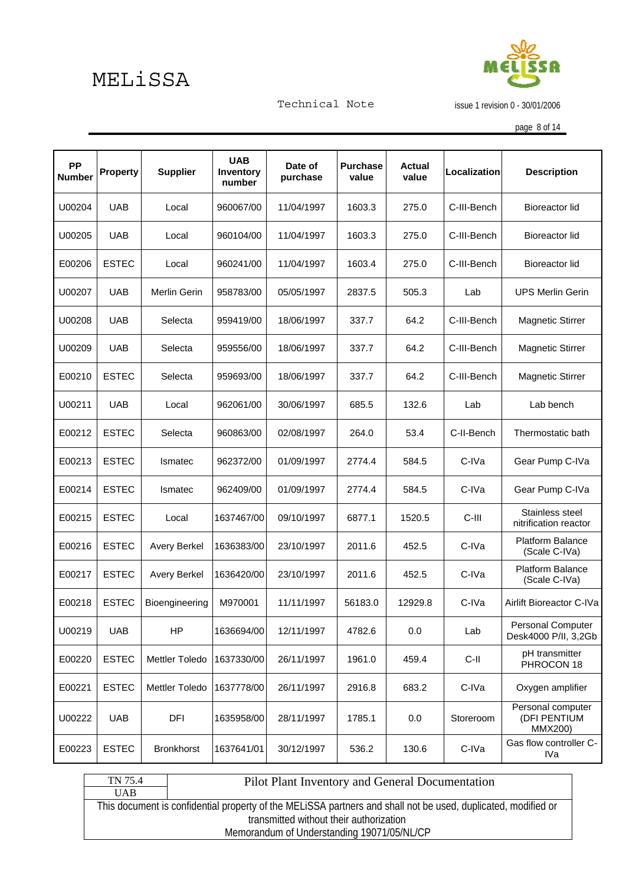

#### Technical Note

issue 1 revision 0 - 30/01/2006

page 8 of 14

| <b>PP</b><br><b>Number</b> | <b>Property</b> | <b>Supplier</b>       | <b>UAB</b><br>Inventory<br>number | Date of<br>purchase | <b>Purchase</b><br>value | <b>Actual</b><br>value | Localization | <b>Description</b>                           |
|----------------------------|-----------------|-----------------------|-----------------------------------|---------------------|--------------------------|------------------------|--------------|----------------------------------------------|
| U00204                     | <b>UAB</b>      | Local                 | 960067/00                         | 11/04/1997          | 1603.3                   | 275.0                  | C-III-Bench  | <b>Bioreactor lid</b>                        |
| U00205                     | <b>UAB</b>      | Local                 | 960104/00                         | 11/04/1997          | 1603.3                   | 275.0                  | C-III-Bench  | <b>Bioreactor lid</b>                        |
| E00206                     | <b>ESTEC</b>    | Local                 | 960241/00                         | 11/04/1997          | 1603.4                   | 275.0                  | C-III-Bench  | Bioreactor lid                               |
| U00207                     | <b>UAB</b>      | Merlin Gerin          | 958783/00                         | 05/05/1997          | 2837.5                   | 505.3                  | Lab          | <b>UPS Merlin Gerin</b>                      |
| U00208                     | <b>UAB</b>      | Selecta               | 959419/00                         | 18/06/1997          | 337.7                    | 64.2                   | C-III-Bench  | <b>Magnetic Stirrer</b>                      |
| U00209                     | <b>UAB</b>      | Selecta               | 959556/00                         | 18/06/1997          | 337.7                    | 64.2                   | C-III-Bench  | <b>Magnetic Stirrer</b>                      |
| E00210                     | <b>ESTEC</b>    | Selecta               | 959693/00                         | 18/06/1997          | 337.7                    | 64.2                   | C-III-Bench  | <b>Magnetic Stirrer</b>                      |
| U00211                     | <b>UAB</b>      | Local                 | 962061/00                         | 30/06/1997          | 685.5                    | 132.6                  | Lab          | Lab bench                                    |
| E00212                     | <b>ESTEC</b>    | Selecta               | 960863/00                         | 02/08/1997          | 264.0                    | 53.4                   | C-II-Bench   | Thermostatic bath                            |
| E00213                     | <b>ESTEC</b>    | Ismatec               | 962372/00                         | 01/09/1997          | 2774.4                   | 584.5                  | C-IVa        | Gear Pump C-IVa                              |
| E00214                     | <b>ESTEC</b>    | Ismatec               | 962409/00                         | 01/09/1997          | 2774.4                   | 584.5                  | C-IVa        | Gear Pump C-IVa                              |
| E00215                     | <b>ESTEC</b>    | Local                 | 1637467/00                        | 09/10/1997          | 6877.1                   | 1520.5                 | $C-III$      | Stainless steel<br>nitrification reactor     |
| E00216                     | <b>ESTEC</b>    | Avery Berkel          | 1636383/00                        | 23/10/1997          | 2011.6                   | 452.5                  | C-IVa        | Platform Balance<br>(Scale C-IVa)            |
| E00217                     | <b>ESTEC</b>    | Avery Berkel          | 1636420/00                        | 23/10/1997          | 2011.6                   | 452.5                  | C-IVa        | <b>Platform Balance</b><br>(Scale C-IVa)     |
| E00218                     | <b>ESTEC</b>    | Bioengineering        | M970001                           | 11/11/1997          | 56183.0                  | 12929.8                | C-IVa        | Airlift Bioreactor C-IVa                     |
| U00219                     | <b>UAB</b>      | <b>HP</b>             | 1636694/00                        | 12/11/1997          | 4782.6                   | 0.0                    | Lab          | Personal Computer<br>Desk4000 P/II, 3,2Gb    |
| E00220                     | <b>ESTEC</b>    | <b>Mettler Toledo</b> | 1637330/00                        | 26/11/1997          | 1961.0                   | 459.4                  | C-II         | pH transmitter<br>PHROCON 18                 |
| E00221                     | <b>ESTEC</b>    | Mettler Toledo        | 1637778/00                        | 26/11/1997          | 2916.8                   | 683.2                  | C-IVa        | Oxygen amplifier                             |
| U00222                     | <b>UAB</b>      | DFI                   | 1635958/00                        | 28/11/1997          | 1785.1                   | 0.0                    | Storeroom    | Personal computer<br>(DFI PENTIUM<br>MMX200) |
| E00223                     | <b>ESTEC</b>    | <b>Bronkhorst</b>     | 1637641/01                        | 30/12/1997          | 536.2                    | 130.6                  | C-IVa        | Gas flow controller C-<br>IVa                |

| TN 75.4                                                                                                       | Pilot Plant Inventory and General Documentation |  |  |  |  |  |
|---------------------------------------------------------------------------------------------------------------|-------------------------------------------------|--|--|--|--|--|
| <b>UAB</b>                                                                                                    |                                                 |  |  |  |  |  |
| This document is confidential property of the MELISSA partners and shall not be used, duplicated, modified or |                                                 |  |  |  |  |  |
| transmitted without their authorization                                                                       |                                                 |  |  |  |  |  |
| Memorandum of Understanding 19071/05/NL/CP                                                                    |                                                 |  |  |  |  |  |
|                                                                                                               |                                                 |  |  |  |  |  |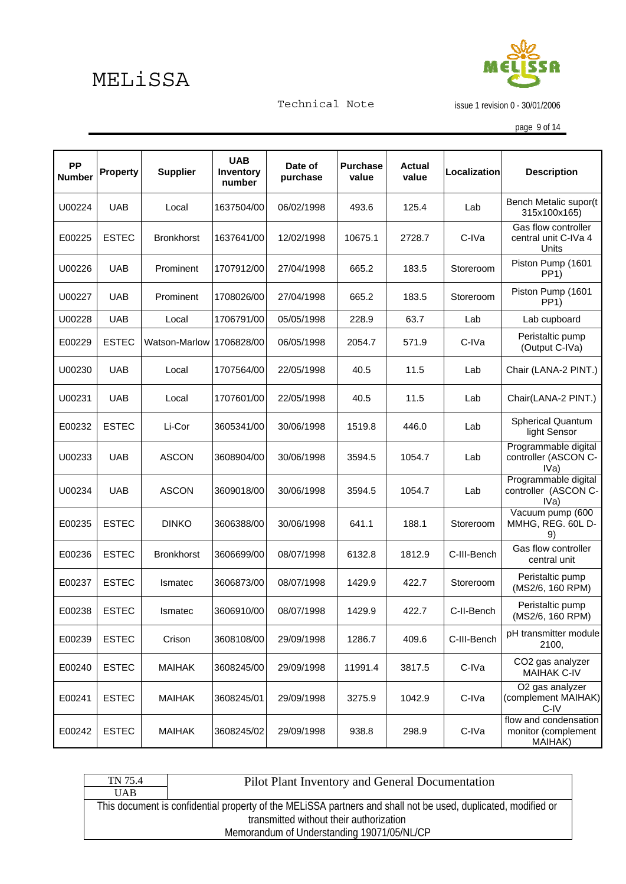

Technical Note

issue 1 revision 0 - 30/01/2006

page 9 of 14

| <b>PP</b><br><b>Number</b> | <b>Property</b> | <b>Supplier</b>   | <b>UAB</b><br>Inventory<br>number | Date of<br>purchase | <b>Purchase</b><br>value | <b>Actual</b><br>value | Localization | <b>Description</b>                                      |
|----------------------------|-----------------|-------------------|-----------------------------------|---------------------|--------------------------|------------------------|--------------|---------------------------------------------------------|
| U00224                     | <b>UAB</b>      | Local             | 1637504/00                        | 06/02/1998          | 493.6                    | 125.4                  | Lab          | Bench Metalic supor(t<br>315x100x165)                   |
| E00225                     | <b>ESTEC</b>    | <b>Bronkhorst</b> | 1637641/00                        | 12/02/1998          | 10675.1                  | 2728.7                 | C-IVa        | Gas flow controller<br>central unit C-IVa 4<br>Units    |
| U00226                     | <b>UAB</b>      | Prominent         | 1707912/00                        | 27/04/1998          | 665.2                    | 183.5                  | Storeroom    | Piston Pump (1601<br>PP <sub>1</sub> )                  |
| U00227                     | <b>UAB</b>      | Prominent         | 1708026/00                        | 27/04/1998          | 665.2                    | 183.5                  | Storeroom    | Piston Pump (1601<br>PP <sub>1</sub>                    |
| U00228                     | <b>UAB</b>      | Local             | 1706791/00                        | 05/05/1998          | 228.9                    | 63.7                   | Lab          | Lab cupboard                                            |
| E00229                     | <b>ESTEC</b>    | Watson-Marlow     | 1706828/00                        | 06/05/1998          | 2054.7                   | 571.9                  | C-IVa        | Peristaltic pump<br>(Output C-IVa)                      |
| U00230                     | <b>UAB</b>      | Local             | 1707564/00                        | 22/05/1998          | 40.5                     | 11.5                   | Lab          | Chair (LANA-2 PINT.)                                    |
| U00231                     | <b>UAB</b>      | Local             | 1707601/00                        | 22/05/1998          | 40.5                     | 11.5                   | Lab          | Chair(LANA-2 PINT.)                                     |
| E00232                     | <b>ESTEC</b>    | Li-Cor            | 3605341/00                        | 30/06/1998          | 1519.8                   | 446.0                  | Lab          | <b>Spherical Quantum</b><br>light Sensor                |
| U00233                     | <b>UAB</b>      | <b>ASCON</b>      | 3608904/00                        | 30/06/1998          | 3594.5                   | 1054.7                 | Lab          | Programmable digital<br>controller (ASCON C-<br>IVa)    |
| U00234                     | <b>UAB</b>      | <b>ASCON</b>      | 3609018/00                        | 30/06/1998          | 3594.5                   | 1054.7                 | Lab          | Programmable digital<br>controller (ASCON C-<br>IVa)    |
| E00235                     | <b>ESTEC</b>    | <b>DINKO</b>      | 3606388/00                        | 30/06/1998          | 641.1                    | 188.1                  | Storeroom    | Vacuum pump (600<br>MMHG, REG. 60L D-<br>9)             |
| E00236                     | <b>ESTEC</b>    | <b>Bronkhorst</b> | 3606699/00                        | 08/07/1998          | 6132.8                   | 1812.9                 | C-III-Bench  | Gas flow controller<br>central unit                     |
| E00237                     | <b>ESTEC</b>    | Ismatec           | 3606873/00                        | 08/07/1998          | 1429.9                   | 422.7                  | Storeroom    | Peristaltic pump<br>(MS2/6, 160 RPM)                    |
| E00238                     | <b>ESTEC</b>    | Ismatec           | 3606910/00                        | 08/07/1998          | 1429.9                   | 422.7                  | C-II-Bench   | Peristaltic pump<br>(MS2/6, 160 RPM)                    |
| E00239                     | <b>ESTEC</b>    | Crison            | 3608108/00                        | 29/09/1998          | 1286.7                   | 409.6                  | C-III-Bench  | pH transmitter module<br>2100,                          |
| E00240                     | <b>ESTEC</b>    | <b>MAIHAK</b>     | 3608245/00                        | 29/09/1998          | 11991.4                  | 3817.5                 | C-IVa        | CO2 gas analyzer<br><b>MAIHAK C-IV</b>                  |
| E00241                     | <b>ESTEC</b>    | <b>MAIHAK</b>     | 3608245/01                        | 29/09/1998          | 3275.9                   | 1042.9                 | C-IVa        | O2 gas analyzer<br>(complement MAIHAK)<br>C-IV          |
| E00242                     | <b>ESTEC</b>    | <b>MAIHAK</b>     | 3608245/02                        | 29/09/1998          | 938.8                    | 298.9                  | C-IVa        | flow and condensation<br>monitor (complement<br>MAIHAK) |

| TN 75.4                                                                                                       | Pilot Plant Inventory and General Documentation |  |  |  |  |  |
|---------------------------------------------------------------------------------------------------------------|-------------------------------------------------|--|--|--|--|--|
| <b>UAB</b>                                                                                                    |                                                 |  |  |  |  |  |
| This document is confidential property of the MELISSA partners and shall not be used, duplicated, modified or |                                                 |  |  |  |  |  |
| transmitted without their authorization                                                                       |                                                 |  |  |  |  |  |
| Memorandum of Understanding 19071/05/NL/CP                                                                    |                                                 |  |  |  |  |  |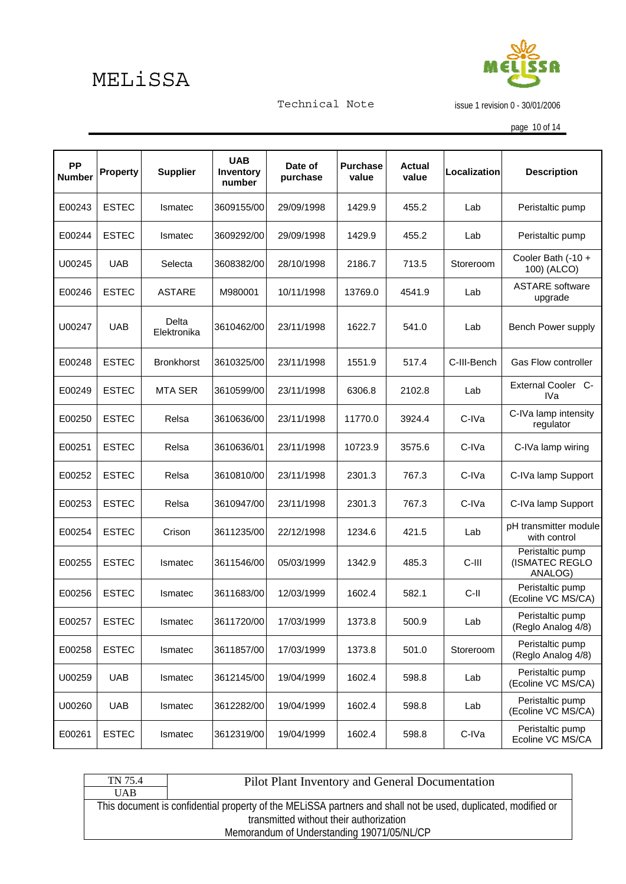

#### Technical Note

issue 1 revision 0 - 30/01/2006

page 10 of 14

| <b>PP</b><br><b>Number</b> | <b>Property</b> | <b>Supplier</b>      | <b>UAB</b><br>Inventory<br>number | Date of<br>purchase | <b>Purchase</b><br>value | <b>Actual</b><br>value | Localization | <b>Description</b>                            |
|----------------------------|-----------------|----------------------|-----------------------------------|---------------------|--------------------------|------------------------|--------------|-----------------------------------------------|
| E00243                     | <b>ESTEC</b>    | Ismatec              | 3609155/00                        | 29/09/1998          | 1429.9                   | 455.2                  | Lab          | Peristaltic pump                              |
| E00244                     | <b>ESTEC</b>    | Ismatec              | 3609292/00                        | 29/09/1998          | 1429.9                   | 455.2                  | Lab          | Peristaltic pump                              |
| U00245                     | <b>UAB</b>      | Selecta              | 3608382/00                        | 28/10/1998          | 2186.7                   | 713.5                  | Storeroom    | Cooler Bath (-10 +<br>100) (ALCO)             |
| E00246                     | <b>ESTEC</b>    | <b>ASTARE</b>        | M980001                           | 10/11/1998          | 13769.0                  | 4541.9                 | Lab          | <b>ASTARE</b> software<br>upgrade             |
| U00247                     | <b>UAB</b>      | Delta<br>Elektronika | 3610462/00                        | 23/11/1998          | 1622.7                   | 541.0                  | Lab          | Bench Power supply                            |
| E00248                     | <b>ESTEC</b>    | <b>Bronkhorst</b>    | 3610325/00                        | 23/11/1998          | 1551.9                   | 517.4                  | C-III-Bench  | <b>Gas Flow controller</b>                    |
| E00249                     | <b>ESTEC</b>    | <b>MTA SER</b>       | 3610599/00                        | 23/11/1998          | 6306.8                   | 2102.8                 | Lab          | External Cooler C-<br><b>IVa</b>              |
| E00250                     | <b>ESTEC</b>    | Relsa                | 3610636/00                        | 23/11/1998          | 11770.0                  | 3924.4                 | C-IVa        | C-IVa lamp intensity<br>regulator             |
| E00251                     | <b>ESTEC</b>    | Relsa                | 3610636/01                        | 23/11/1998          | 10723.9                  | 3575.6                 | C-IVa        | C-IVa lamp wiring                             |
| E00252                     | <b>ESTEC</b>    | Relsa                | 3610810/00                        | 23/11/1998          | 2301.3                   | 767.3                  | C-IVa        | C-IVa lamp Support                            |
| E00253                     | <b>ESTEC</b>    | Relsa                | 3610947/00                        | 23/11/1998          | 2301.3                   | 767.3                  | C-IVa        | C-IVa lamp Support                            |
| E00254                     | <b>ESTEC</b>    | Crison               | 3611235/00                        | 22/12/1998          | 1234.6                   | 421.5                  | Lab          | pH transmitter module<br>with control         |
| E00255                     | <b>ESTEC</b>    | Ismatec              | 3611546/00                        | 05/03/1999          | 1342.9                   | 485.3                  | C-III        | Peristaltic pump<br>(ISMATEC REGLO<br>ANALOG) |
| E00256                     | <b>ESTEC</b>    | Ismatec              | 3611683/00                        | 12/03/1999          | 1602.4                   | 582.1                  | C-II         | Peristaltic pump<br>(Ecoline VC MS/CA)        |
| E00257                     | <b>ESTEC</b>    | Ismatec              | 3611720/00                        | 17/03/1999          | 1373.8                   | 500.9                  | Lab          | Peristaltic pump<br>(Reglo Analog 4/8)        |
| E00258                     | <b>ESTEC</b>    | Ismatec              | 3611857/00                        | 17/03/1999          | 1373.8                   | 501.0                  | Storeroom    | Peristaltic pump<br>(Reglo Analog 4/8)        |
| U00259                     | <b>UAB</b>      | Ismatec              | 3612145/00                        | 19/04/1999          | 1602.4                   | 598.8                  | Lab          | Peristaltic pump<br>(Ecoline VC MS/CA)        |
| U00260                     | <b>UAB</b>      | Ismatec              | 3612282/00                        | 19/04/1999          | 1602.4                   | 598.8                  | Lab          | Peristaltic pump<br>(Ecoline VC MS/CA)        |
| E00261                     | <b>ESTEC</b>    | Ismatec              | 3612319/00                        | 19/04/1999          | 1602.4                   | 598.8                  | C-IVa        | Peristaltic pump<br>Ecoline VC MS/CA          |

| TN 75.4                                                                                                       | Pilot Plant Inventory and General Documentation |
|---------------------------------------------------------------------------------------------------------------|-------------------------------------------------|
| UAB                                                                                                           |                                                 |
| This document is confidential property of the MELISSA partners and shall not be used, duplicated, modified or |                                                 |
|                                                                                                               | transmitted without their authorization         |
|                                                                                                               | Memorandum of Understanding 19071/05/NL/CP      |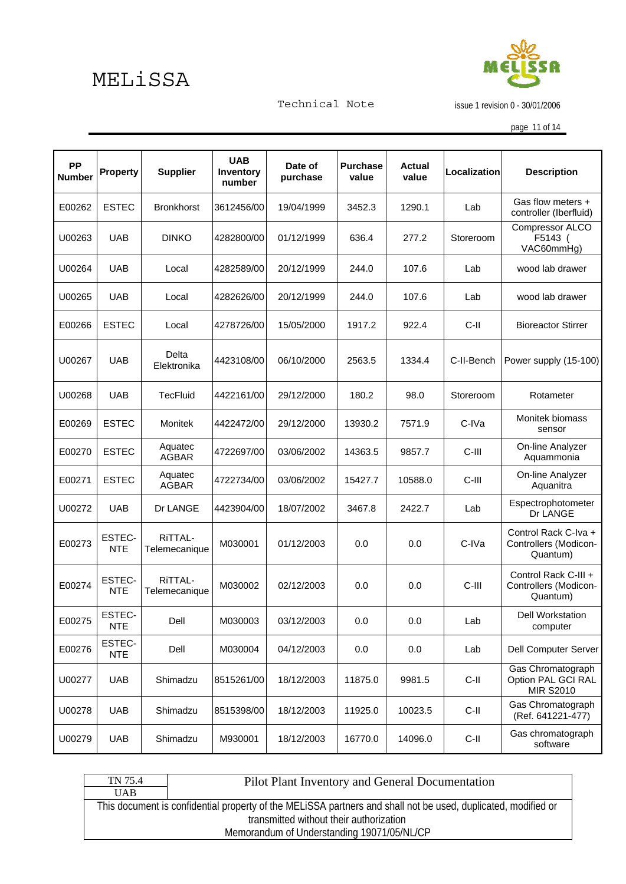

Technical Note

issue 1 revision 0 - 30/01/2006

page 11 of 14

| <b>PP</b><br><b>Number</b> | <b>Property</b>      | <b>Supplier</b>             | <b>UAB</b><br>Inventory<br>number | Date of<br>purchase | <b>Purchase</b><br>value | <b>Actual</b><br>value | Localization | <b>Description</b>                                          |
|----------------------------|----------------------|-----------------------------|-----------------------------------|---------------------|--------------------------|------------------------|--------------|-------------------------------------------------------------|
| E00262                     | <b>ESTEC</b>         | <b>Bronkhorst</b>           | 3612456/00                        | 19/04/1999          | 3452.3                   | 1290.1                 | Lab          | Gas flow meters +<br>controller (Iberfluid)                 |
| U00263                     | <b>UAB</b>           | <b>DINKO</b>                | 4282800/00                        | 01/12/1999          | 636.4                    | 277.2                  | Storeroom    | Compressor ALCO<br>F5143 (<br>VAC60mmHg)                    |
| U00264                     | <b>UAB</b>           | Local                       | 4282589/00                        | 20/12/1999          | 244.0                    | 107.6                  | Lab          | wood lab drawer                                             |
| U00265                     | <b>UAB</b>           | Local                       | 4282626/00                        | 20/12/1999          | 244.0                    | 107.6                  | Lab          | wood lab drawer                                             |
| E00266                     | <b>ESTEC</b>         | Local                       | 4278726/00                        | 15/05/2000          | 1917.2                   | 922.4                  | C-II         | <b>Bioreactor Stirrer</b>                                   |
| U00267                     | <b>UAB</b>           | <b>Delta</b><br>Elektronika | 4423108/00                        | 06/10/2000          | 2563.5                   | 1334.4                 | C-II-Bench   | Power supply (15-100)                                       |
| U00268                     | <b>UAB</b>           | <b>TecFluid</b>             | 4422161/00                        | 29/12/2000          | 180.2                    | 98.0                   | Storeroom    | Rotameter                                                   |
| E00269                     | <b>ESTEC</b>         | Monitek                     | 4422472/00                        | 29/12/2000          | 13930.2                  | 7571.9                 | C-IVa        | Monitek biomass<br>sensor                                   |
| E00270                     | <b>ESTEC</b>         | Aquatec<br><b>AGBAR</b>     | 4722697/00                        | 03/06/2002          | 14363.5                  | 9857.7                 | C-III        | On-line Analyzer<br>Aquammonia                              |
| E00271                     | <b>ESTEC</b>         | Aquatec<br><b>AGBAR</b>     | 4722734/00                        | 03/06/2002          | 15427.7                  | 10588.0                | C-III        | On-line Analyzer<br>Aquanitra                               |
| U00272                     | <b>UAB</b>           | Dr LANGE                    | 4423904/00                        | 18/07/2002          | 3467.8                   | 2422.7                 | Lab          | Espectrophotometer<br>Dr LANGE                              |
| E00273                     | ESTEC-<br><b>NTE</b> | RITTAL-<br>Telemecanique    | M030001                           | 01/12/2003          | 0.0                      | 0.0                    | C-IVa        | Control Rack C-Iva +<br>Controllers (Modicon-<br>Quantum)   |
| E00274                     | ESTEC-<br><b>NTE</b> | RITTAL-<br>Telemecanique    | M030002                           | 02/12/2003          | 0.0                      | 0.0                    | C-III        | Control Rack C-III +<br>Controllers (Modicon-<br>Quantum)   |
| E00275                     | ESTEC-<br><b>NTE</b> | Dell                        | M030003                           | 03/12/2003          | 0.0                      | 0.0                    | Lab          | Dell Workstation<br>computer                                |
| E00276                     | ESTEC-<br><b>NTE</b> | Dell                        | M030004                           | 04/12/2003          | 0.0                      | 0.0                    | Lab          | Dell Computer Server                                        |
| U00277                     | <b>UAB</b>           | Shimadzu                    | 8515261/00                        | 18/12/2003          | 11875.0                  | 9981.5                 | C-II         | Gas Chromatograph<br>Option PAL GCI RAL<br><b>MIR S2010</b> |
| U00278                     | <b>UAB</b>           | Shimadzu                    | 8515398/00                        | 18/12/2003          | 11925.0                  | 10023.5                | $C-II$       | Gas Chromatograph<br>(Ref. 641221-477)                      |
| U00279                     | <b>UAB</b>           | Shimadzu                    | M930001                           | 18/12/2003          | 16770.0                  | 14096.0                | $C-II$       | Gas chromatograph<br>software                               |

| TN 75.4                                                                                                       | Pilot Plant Inventory and General Documentation |
|---------------------------------------------------------------------------------------------------------------|-------------------------------------------------|
| UAB                                                                                                           |                                                 |
| This document is confidential property of the MELISSA partners and shall not be used, duplicated, modified or |                                                 |
|                                                                                                               | transmitted without their authorization         |
|                                                                                                               | Memorandum of Understanding 19071/05/NL/CP      |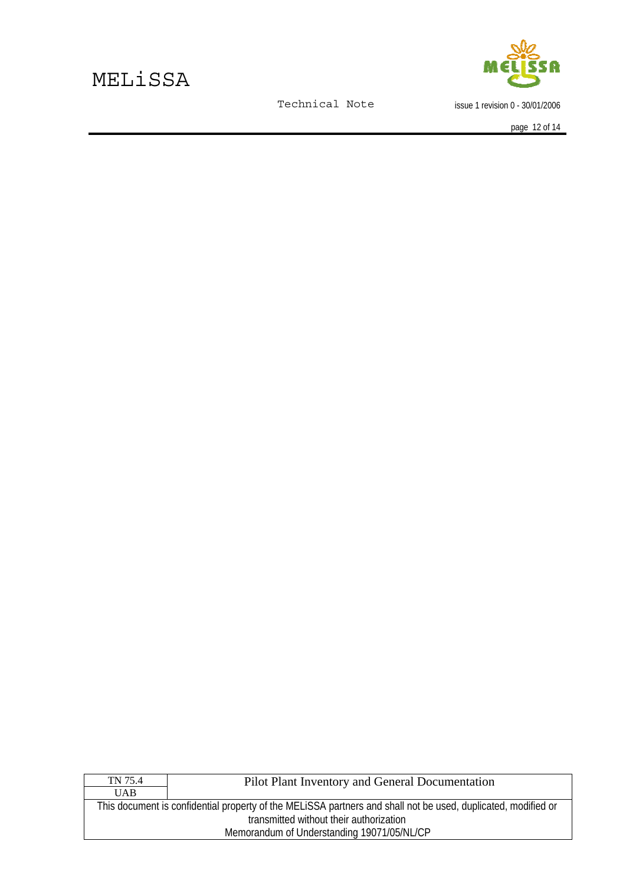## Ţ n

Technical Note

issue 1 revision 0 - 30/01/2006

page 12 of 14

| TN 75.4                                    | Pilot Plant Inventory and General Documentation                                                               |  |
|--------------------------------------------|---------------------------------------------------------------------------------------------------------------|--|
| <b>UAB</b>                                 |                                                                                                               |  |
|                                            | This document is confidential property of the MELISSA partners and shall not be used, duplicated, modified or |  |
| transmitted without their authorization    |                                                                                                               |  |
| Memorandum of Understanding 19071/05/NL/CP |                                                                                                               |  |
|                                            |                                                                                                               |  |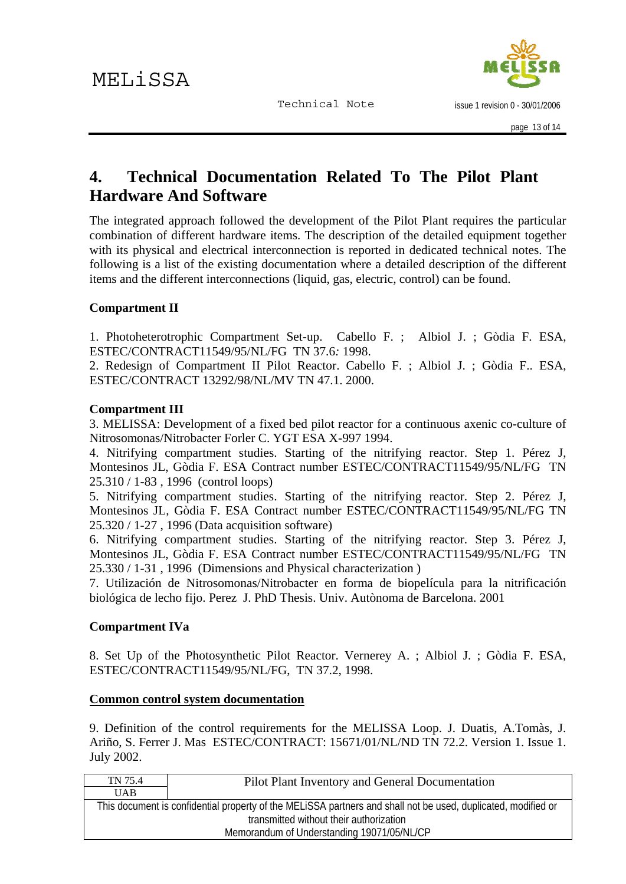

## <span id="page-15-0"></span>**4. Technical Documentation Related To The Pilot Plant Hardware And Software**

The integrated approach followed the development of the Pilot Plant requires the particular combination of different hardware items. The description of the detailed equipment together with its physical and electrical interconnection is reported in dedicated technical notes. The following is a list of the existing documentation where a detailed description of the different items and the different interconnections (liquid, gas, electric, control) can be found.

### **Compartment II**

1. Photoheterotrophic Compartment Set-up. Cabello F. ; Albiol J. ; Gòdia F. ESA, ESTEC/CONTRACT11549/95/NL/FG TN 37.6*:* 1998.

2. Redesign of Compartment II Pilot Reactor. Cabello F. ; Albiol J. ; Gòdia F.. ESA, ESTEC/CONTRACT 13292/98/NL/MV TN 47.1. 2000.

#### **Compartment III**

3. MELISSA: Development of a fixed bed pilot reactor for a continuous axenic co-culture of Nitrosomonas/Nitrobacter Forler C. YGT ESA X-997 1994.

4. Nitrifying compartment studies. Starting of the nitrifying reactor. Step 1. Pérez J, Montesinos JL, Gòdia F. ESA Contract number ESTEC/CONTRACT11549/95/NL/FG TN 25.310 / 1-83 , 1996 (control loops)

5. Nitrifying compartment studies. Starting of the nitrifying reactor. Step 2. Pérez J, Montesinos JL, Gòdia F. ESA Contract number ESTEC/CONTRACT11549/95/NL/FG TN 25.320 / 1-27 , 1996 (Data acquisition software)

6. Nitrifying compartment studies. Starting of the nitrifying reactor. Step 3. Pérez J, Montesinos JL, Gòdia F. ESA Contract number ESTEC/CONTRACT11549/95/NL/FG TN 25.330 / 1-31 , 1996 (Dimensions and Physical characterization )

7. Utilización de Nitrosomonas/Nitrobacter en forma de biopelícula para la nitrificación biológica de lecho fijo. Perez J. PhD Thesis. Univ. Autònoma de Barcelona. 2001

### **Compartment IVa**

8. Set Up of the Photosynthetic Pilot Reactor. Vernerey A. ; Albiol J. ; Gòdia F. ESA, ESTEC/CONTRACT11549/95/NL/FG, TN 37.2, 1998.

### **Common control system documentation**

9. Definition of the control requirements for the MELISSA Loop. J. Duatis, A.Tomàs, J. Ariño, S. Ferrer J. Mas ESTEC/CONTRACT: 15671/01/NL/ND TN 72.2. Version 1. Issue 1. July 2002.

| TN 75.4                                                                                                       | Pilot Plant Inventory and General Documentation |  |
|---------------------------------------------------------------------------------------------------------------|-------------------------------------------------|--|
| <b>UAB</b>                                                                                                    |                                                 |  |
| This document is confidential property of the MELISSA partners and shall not be used, duplicated, modified or |                                                 |  |
| transmitted without their authorization                                                                       |                                                 |  |
| Memorandum of Understanding 19071/05/NL/CP                                                                    |                                                 |  |
|                                                                                                               |                                                 |  |